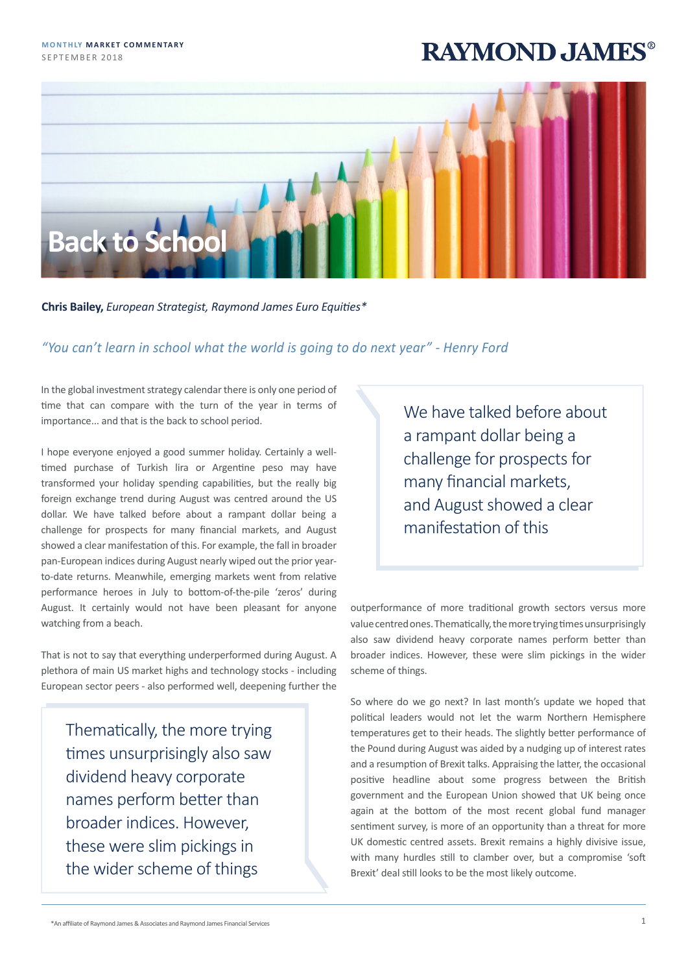## **RAYMOND JAMES®**



**Chris Bailey,** *European Strategist, Raymond James Euro Equities\**

## *"You can't learn in school what the world is going to do next year" - Henry Ford*

In the global investment strategy calendar there is only one period of time that can compare with the turn of the year in terms of importance... and that is the back to school period.

I hope everyone enjoyed a good summer holiday. Certainly a welltimed purchase of Turkish lira or Argentine peso may have transformed your holiday spending capabilities, but the really big foreign exchange trend during August was centred around the US dollar. We have talked before about a rampant dollar being a challenge for prospects for many financial markets, and August showed a clear manifestation of this. For example, the fall in broader pan-European indices during August nearly wiped out the prior yearto-date returns. Meanwhile, emerging markets went from relative performance heroes in July to bottom-of-the-pile 'zeros' during August. It certainly would not have been pleasant for anyone watching from a beach.

That is not to say that everything underperformed during August. A plethora of main US market highs and technology stocks - including European sector peers - also performed well, deepening further the

Thematically, the more trying times unsurprisingly also saw dividend heavy corporate names perform better than broader indices. However, these were slim pickings in the wider scheme of things

We have talked before about a rampant dollar being a challenge for prospects for many financial markets, and August showed a clear manifestation of this

outperformance of more traditional growth sectors versus more value centred ones. Thematically, the more trying times unsurprisingly also saw dividend heavy corporate names perform better than broader indices. However, these were slim pickings in the wider scheme of things.

So where do we go next? In last month's update we hoped that political leaders would not let the warm Northern Hemisphere temperatures get to their heads. The slightly better performance of the Pound during August was aided by a nudging up of interest rates and a resumption of Brexit talks. Appraising the latter, the occasional positive headline about some progress between the British government and the European Union showed that UK being once again at the bottom of the most recent global fund manager sentiment survey, is more of an opportunity than a threat for more UK domestic centred assets. Brexit remains a highly divisive issue, with many hurdles still to clamber over, but a compromise 'soft Brexit' deal still looks to be the most likely outcome.